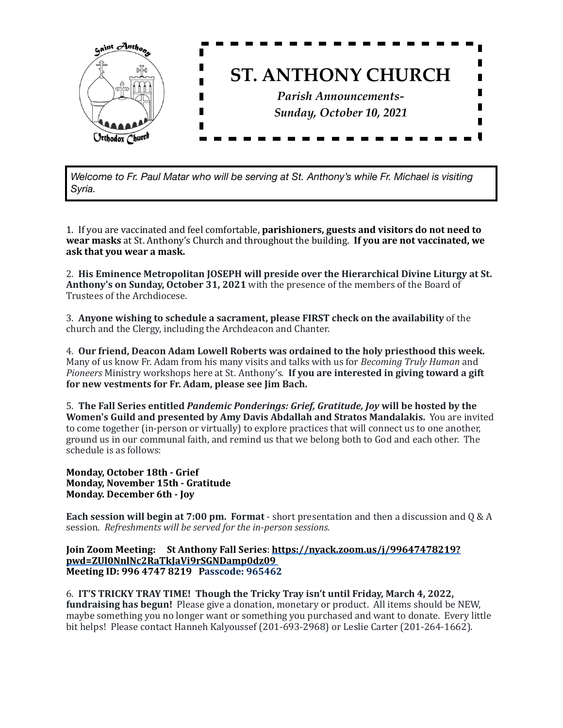

*Welcome to Fr. Paul Matar who will be serving at St. Anthony's while Fr. Michael is visiting Syria.*

1. If you are vaccinated and feel comfortable, **parishioners, guests and visitors do not need to wear masks** at St. Anthony's Church and throughout the building. **If you are not vaccinated, we** ask that you wear a mask.

2. His Eminence Metropolitan **JOSEPH** will preside over the Hierarchical Divine Liturgy at St. **Anthony's on Sunday, October 31, 2021** with the presence of the members of the Board of Trustees of the Archdiocese.

3. Anyone wishing to schedule a sacrament, please FIRST check on the availability of the church and the Clergy, including the Archdeacon and Chanter.

4. Our friend, Deacon Adam Lowell Roberts was ordained to the holy priesthood this week. Many of us know Fr. Adam from his many visits and talks with us for *Becoming Truly Human* and *Pioneers* Ministry workshops here at St. Anthony's. **If you are interested in giving toward a gift** for new vestments for Fr. Adam, please see Jim Bach.

5. The Fall Series entitled *Pandemic Ponderings: Grief, Gratitude, Joy* will be hosted by the **Women's Guild and presented by Amy Davis Abdallah and Stratos Mandalakis.** You are invited to come together (in-person or virtually) to explore practices that will connect us to one another, ground us in our communal faith, and remind us that we belong both to God and each other. The schedule is as follows:

## **Monday, October 18th - Grief Monday, November 15th - Gratitude Monday. December 6th - Joy**

**Each session will begin at 7:00 pm. Format** - short presentation and then a discussion and Q & A session. Refreshments will be served for the in-person sessions.

**Join Zoom Meeting:** St Anthony Fall Series: [https://nyack.zoom.us/j/99647478219?](https://nyack.zoom.us/j/99647478219?pwd=ZUl0NnlNc2RaTkJaVi9rSGNDamp0dz09) **[pwd=ZUl0NnlNc2RaTkJaVi9rSGNDamp0dz09](https://nyack.zoom.us/j/99647478219?pwd=ZUl0NnlNc2RaTkJaVi9rSGNDamp0dz09)** Meeting ID: 996 4747 8219 Passcode: 965462

6. **IT'S TRICKY TRAY TIME!** Though the Tricky Tray isn't until Friday, March 4, 2022, **fundraising has begun!** Please give a donation, monetary or product. All items should be NEW, maybe something you no longer want or something you purchased and want to donate. Every little bit helps! Please contact Hanneh Kalyoussef (201-693-2968) or Leslie Carter (201-264-1662).